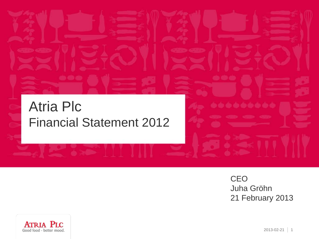#### Atria Plc Financial Statement 2012

**CEO** Juha Gröhn 21 February 2013

\*\*\*\*\*\*\*\*

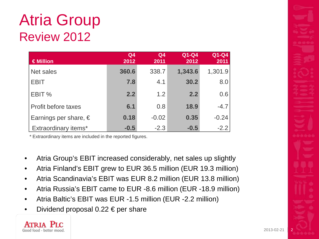# Atria Group Review 2012

| €Million                       | Q <sub>4</sub><br>2012 | Q <sub>4</sub><br>2011 | Q1-Q4<br>2012 | Q1-Q4<br>2011 |
|--------------------------------|------------------------|------------------------|---------------|---------------|
| Net sales                      | 360.6                  | 338.7                  | 1,343.6       | 1,301.9       |
| <b>EBIT</b>                    | 7.8                    | 4.1                    | 30.2          | 8.0           |
| EBIT %                         | 2.2                    | 1.2                    | 2.2           | 0.6           |
| Profit before taxes            | 6.1                    | 0.8                    | 18.9          | $-4.7$        |
| Earnings per share, $\epsilon$ | 0.18                   | $-0.02$                | 0.35          | $-0.24$       |
| Extraordinary items*           | $-0.5$                 | $-2.3$                 | $-0.5$        | $-2.2$        |

- Atria Group's EBIT increased considerably, net sales up slightly
- Atria Finland's EBIT grew to EUR 36.5 million (EUR 19.3 million)
- Atria Scandinavia's EBIT was EUR 8.2 million (EUR 13.8 million)
- Atria Russia's EBIT came to EUR -8.6 million (EUR -18.9 million)
- Atria Baltic's EBIT was EUR -1.5 million (EUR -2.2 million)
- Dividend proposal 0.22  $\epsilon$  per share

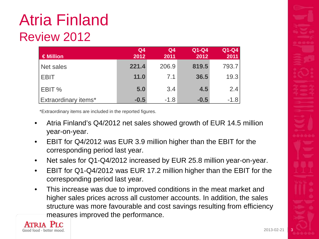# Atria Finland Review 2012

| $\in$ Million               | Q <sub>4</sub><br>2012 | Q <sub>4</sub><br>2011 | Q1-Q4<br>2012 | $Q1-Q4$<br>2011 |
|-----------------------------|------------------------|------------------------|---------------|-----------------|
| Net sales                   | 221.4                  | 206.9                  | 819.5         | 793.7           |
| <b>LEBIT</b>                | 11.0                   | 7.1                    | 36.5          | 19.3            |
| <b>EBIT</b> %               | 5.0                    | 3.4                    | 4.5           | 2.4             |
| <b>Extraordinary items*</b> | $-0.5$                 | $-1.8$                 | $-0.5$        | $-1.8$          |

- Atria Finland's Q4/2012 net sales showed growth of EUR 14.5 million year-on-year.
- EBIT for Q4/2012 was EUR 3.9 million higher than the EBIT for the corresponding period last year.
- Net sales for Q1-Q4/2012 increased by EUR 25.8 million year-on-year.
- EBIT for Q1-Q4/2012 was EUR 17.2 million higher than the EBIT for the corresponding period last year.
- This increase was due to improved conditions in the meat market and higher sales prices across all customer accounts. In addition, the sales structure was more favourable and cost savings resulting from efficiency measures improved the performance.



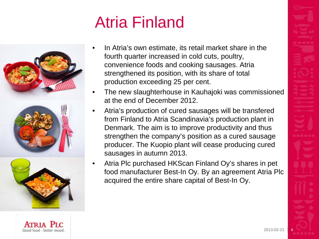# Atria Finland



Good food - better moo

- In Atria's own estimate, its retail market share in the fourth quarter increased in cold cuts, poultry, convenience foods and cooking sausages. Atria strengthened its position, with its share of total production exceeding 25 per cent.
- The new slaughterhouse in Kauhajoki was commissioned at the end of December 2012.
- Atria's production of cured sausages will be transfered from Finland to Atria Scandinavia's production plant in Denmark. The aim is to improve productivity and thus strengthen the company's position as a cured sausage producer. The Kuopio plant will cease producing cured sausages in autumn 2013.
- Atria Plc purchased HKScan Finland Oy's shares in pet food manufacturer Best-In Oy. By an agreement Atria Plc acquired the entire share capital of Best-In Oy.

 $2013 - 02 - 2$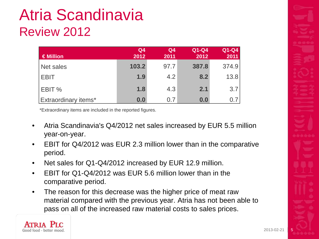# Atria Scandinavia Review 2012

| $\in$ Million               | Q <sub>4</sub><br>2012 | Q <sub>4</sub><br>2011 | Q1-Q4<br>2012 | Q1-Q4<br>2011 |
|-----------------------------|------------------------|------------------------|---------------|---------------|
| Net sales                   | 103.2                  | 97.7                   | 387.8         | 374.9         |
| <b>EBIT</b>                 | 1.9                    | 4.2                    | 8.2           | 13.8          |
| EBIT %                      | 1.8                    | 4.3                    | 2.1           | 3.7           |
| <b>Extraordinary items*</b> | 0.0                    | 0.7                    | 0.0           | 0.7           |

- Atria Scandinavia's Q4/2012 net sales increased by EUR 5.5 million year-on-year.
- EBIT for Q4/2012 was EUR 2.3 million lower than in the comparative period.
- Net sales for Q1-Q4/2012 increased by EUR 12.9 million.
- EBIT for Q1-Q4/2012 was EUR 5.6 million lower than in the comparative period.
- The reason for this decrease was the higher price of meat raw material compared with the previous year. Atria has not been able to pass on all of the increased raw material costs to sales prices.

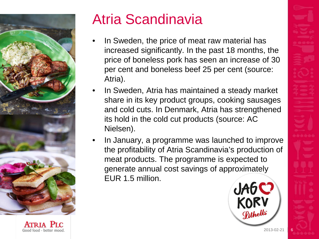

Atria Scandinavia

- In Sweden, the price of meat raw material has increased significantly. In the past 18 months, the price of boneless pork has seen an increase of 30 per cent and boneless beef 25 per cent (source: Atria).
- In Sweden, Atria has maintained a steady market share in its key product groups, cooking sausages and cold cuts. In Denmark, Atria has strengthened its hold in the cold cut products (source: AC Nielsen).
- In January, a programme was launched to improve the profitability of Atria Scandinavia's production of meat products. The programme is expected to generate annual cost savings of approximately EUR 1.5 million.

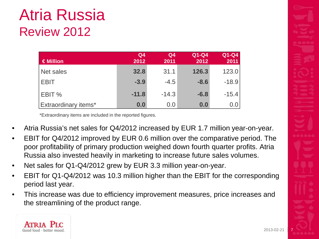# Atria Russia Review 2012

| $\in$ Million        | Q <sub>4</sub><br>2012 | Q <sub>4</sub><br>2011 | Q1-Q4<br>2012 | Q1-Q4<br>2011 |
|----------------------|------------------------|------------------------|---------------|---------------|
| Net sales            | 32.8                   | 31.1                   | 126.3         | 123.0         |
| <b>EBIT</b>          | $-3.9$                 | $-4.5$                 | $-8.6$        | $-18.9$       |
| <b>EBIT %</b>        | $-11.8$                | $-14.3$                | $-6.8$        | $-15.4$       |
| Extraordinary items* | 0.0                    | 0.0                    | 0.0           | 0.0           |

- Atria Russia's net sales for Q4/2012 increased by EUR 1.7 million year-on-year.
- EBIT for Q4/2012 improved by EUR 0.6 million over the comparative period. The poor profitability of primary production weighed down fourth quarter profits. Atria Russia also invested heavily in marketing to increase future sales volumes.
- Net sales for Q1-Q4/2012 grew by EUR 3.3 million year-on-year.
- EBIT for Q1-Q4/2012 was 10.3 million higher than the EBIT for the corresponding period last year.
- This increase was due to efficiency improvement measures, price increases and the streamlining of the product range.

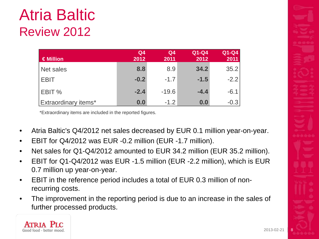# Atria Baltic Review 2012

| $\in$ Million               | Q <sub>4</sub><br>2012 | Q <sub>4</sub><br>2011 | Q1-Q4<br>2012 | Q1-Q4<br>2011 |
|-----------------------------|------------------------|------------------------|---------------|---------------|
| Net sales                   | 8.8                    | 8.9                    | 34.2          | 35.2          |
| <b>EBIT</b>                 | $-0.2$                 | $-1.7$                 | $-1.5$        | $-2.2$        |
| <b>EBIT %</b>               | $-2.4$                 | $-19.6$                | $-4.4$        | $-6.1$        |
| <b>Extraordinary items*</b> | 0.0                    | $-1.2$                 | 0.0           | $-0.3$        |

- Atria Baltic's Q4/2012 net sales decreased by EUR 0.1 million year-on-year.
- EBIT for Q4/2012 was EUR -0.2 million (EUR -1.7 million).
- Net sales for Q1-Q4/2012 amounted to EUR 34.2 million (EUR 35.2 million).
- EBIT for Q1-Q4/2012 was EUR -1.5 million (EUR -2.2 million), which is EUR 0.7 million up year-on-year.
- EBIT in the reference period includes a total of EUR 0.3 million of nonrecurring costs.
- The improvement in the reporting period is due to an increase in the sales of further processed products.

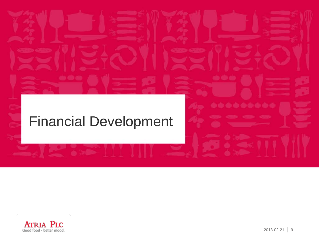#### Financial Development



ه به به به به به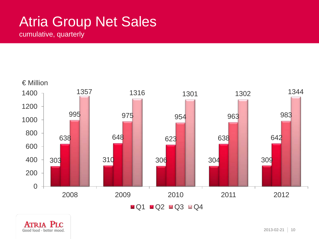#### Atria Group Net Sales

cumulative, quarterly



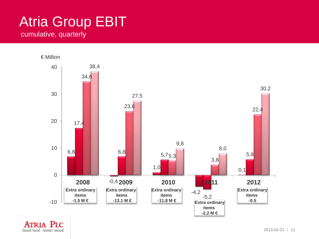#### Atria Group EBIT cumulative, quarterly



Good food - better mood.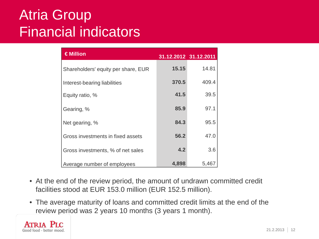#### Atria Group Financial indicators

| €Million                            | 31.12.2012 31.12.2011 |       |
|-------------------------------------|-----------------------|-------|
| Shareholders' equity per share, EUR | 15.15                 | 14.81 |
| Interest-bearing liabilities        | 370.5                 | 409.4 |
| Equity ratio, %                     | 41.5                  | 39.5  |
| Gearing, %                          | 85.9                  | 97.1  |
| Net gearing, %                      | 84.3                  | 95.5  |
| Gross investments in fixed assets   | 56.2                  | 47.0  |
| Gross investments, % of net sales   | 4.2                   | 3.6   |
| Average number of employees         | 4,898                 | 5,467 |

- At the end of the review period, the amount of undrawn committed credit facilities stood at EUR 153.0 million (EUR 152.5 million).
- The average maturity of loans and committed credit limits at the end of the review period was 2 years 10 months (3 years 1 month).

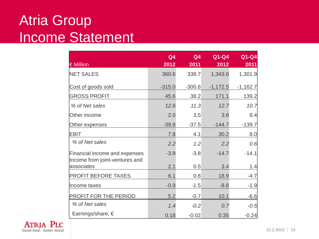#### Atria Group Income Statement

| € Million                                                       | Q <sub>4</sub><br>2012 | Q4<br>2011 | Q1-Q4<br>2012 | Q1-Q4<br>2011 |
|-----------------------------------------------------------------|------------------------|------------|---------------|---------------|
| <b>NET SALES</b>                                                | 360.6                  | 338.7      | 1,343.6       | 1,301.9       |
| Cost of goods sold                                              | $-315.0$               | $-300.6$   | $-1,172.5$    | $-1,162.7$    |
| <b>GROSS PROFIT</b>                                             | 45.6                   | 38.2       | 171.1         | 139.2         |
| % of Net sales                                                  | 12.6                   | 11.3       | 12.7          | 10.7          |
| Other income                                                    | 2.0                    | 3,5        | 3.8           | 8.4           |
| Other expenses                                                  | $-39.8$                | $-37.5$    | $-144.7$      | $-139.7$      |
| <b>EBIT</b>                                                     | 7.8                    | 4.1        | 30.2          | 8.0           |
| % of Net sales                                                  | 2.2                    | 1.2        | 2.2           | 0.6           |
| Financial income and expenses<br>Income from joint-ventures and | $-3.9$                 | $-3.8$     | $-14.7$       | $-14.1$       |
| associates                                                      | 2.1                    | 0.5        | 3.4           | 1.4           |
| <b>PROFIT BEFORE TAXES</b>                                      | 6.1                    | 0.8        | 18.9          | $-4.7$        |
| Income taxes                                                    | $-0.9$                 | $-1.5$     | $-8.8$        | $-1.9$        |
| <b>PROFIT FOR THE PERIOD</b>                                    | 5.2                    | $-0.7$     | 10.1          | $-6.6$        |
| % of Net sales                                                  | 1.4                    | $-0.2$     | 0.7           | $-0.5$        |
| Earnings/share, €                                               | 0.18                   | $-0.02$    | 0.35          | $-0.24$       |

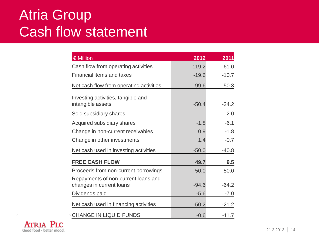#### Atria Group Cash flow statement

| $\epsilon$ Million                                              | 2012    | 2011    |
|-----------------------------------------------------------------|---------|---------|
| Cash flow from operating activities                             | 119.2   | 61.0    |
| <b>Financial items and taxes</b>                                | $-19.6$ | $-10.7$ |
| Net cash flow from operating activities                         | 99.6    | 50.3    |
| Investing activities, tangible and<br>intangible assets         | $-50.4$ | $-34.2$ |
| Sold subsidiary shares                                          |         | 2.0     |
| Acquired subsidiary shares                                      | $-1.8$  | $-6.1$  |
| Change in non-current receivables                               | 0.9     | $-1.8$  |
| Change in other investments                                     | 1.4     | $-0.7$  |
| Net cash used in investing activities                           | $-50.0$ | $-40.8$ |
| <b>FREE CASH FLOW</b>                                           | 49.7    | 9.5     |
| Proceeds from non-current borrowings                            | 50.0    | 50.0    |
| Repayments of non-current loans and<br>changes in current loans | $-94.6$ | $-64.2$ |
| Dividends paid                                                  | $-5.6$  | $-7.0$  |
| Net cash used in financing activities                           | $-50.2$ | $-21.2$ |
| <b>CHANGE IN LIQUID FUNDS</b>                                   | $-0.6$  | $-11.7$ |

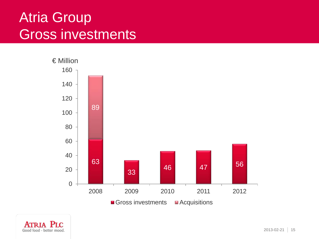#### Atria Group Gross investments



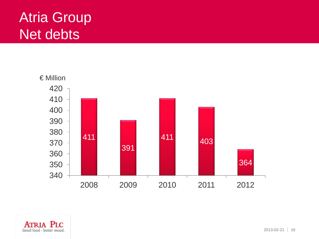#### Atria Group Net debts



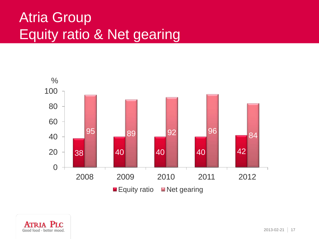### Atria Group Equity ratio & Net gearing



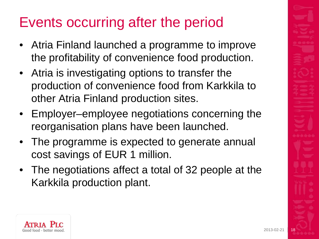# Events occurring after the period

- Atria Finland launched a programme to improve the profitability of convenience food production.
- Atria is investigating options to transfer the production of convenience food from Karkkila to other Atria Finland production sites.
- Employer–employee negotiations concerning the reorganisation plans have been launched.
- The programme is expected to generate annual cost savings of EUR 1 million.
- The negotiations affect a total of 32 people at the Karkkila production plant.

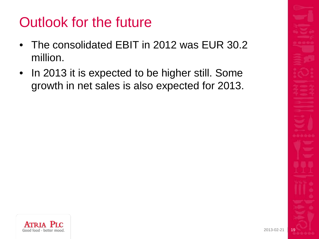### Outlook for the future

- The consolidated EBIT in 2012 was EUR 30.2 million.
- In 2013 it is expected to be higher still. Some growth in net sales is also expected for 2013.

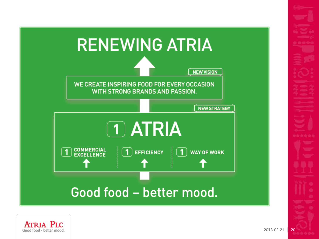